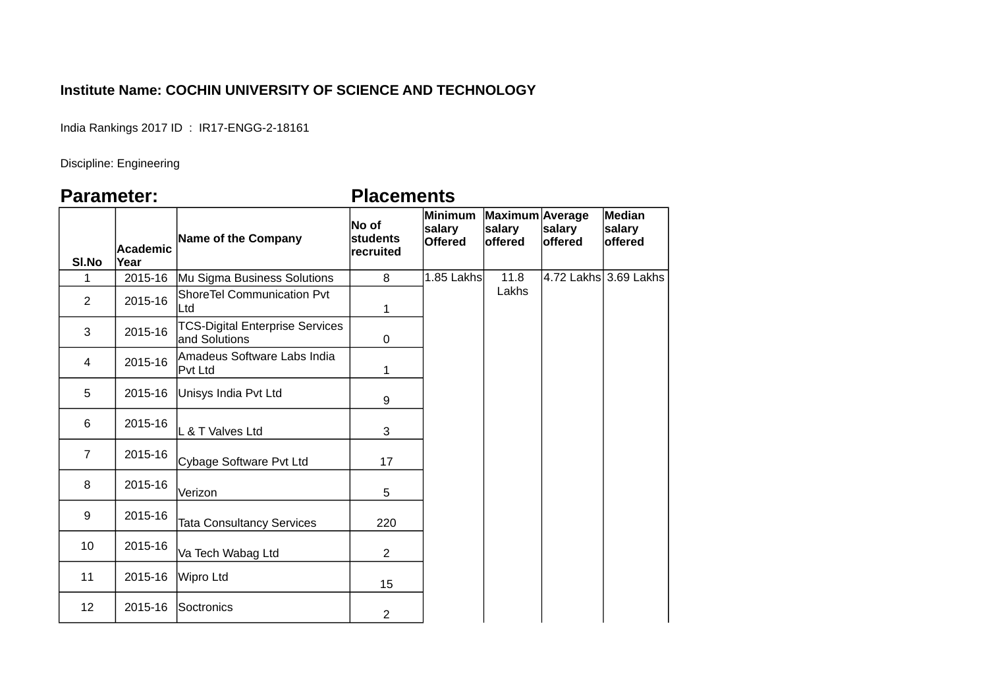## **Institute Name: COCHIN UNIVERSITY OF SCIENCE AND TECHNOLOGY**

India Rankings 2017 ID : IR17-ENGG-2-18161

Discipline: Engineering

## **Parameter: Placements**

| SI.No          | Academic<br>Year | Name of the Company                                     | No of<br>students<br>recruited | Minimum<br>salary<br><b>Offered</b> | Maximum Average<br>salary<br>offered | salary<br>offered | <b>Median</b><br>salary<br>offered |
|----------------|------------------|---------------------------------------------------------|--------------------------------|-------------------------------------|--------------------------------------|-------------------|------------------------------------|
| $\mathbf{1}$   | 2015-16          | Mu Sigma Business Solutions                             | 8                              | 1.85 Lakhs                          | 11.8                                 |                   | 4.72 Lakhs 3.69 Lakhs              |
| $\overline{2}$ | 2015-16          | <b>ShoreTel Communication Pvt</b><br>∣Ltd               | 1                              |                                     | Lakhs                                |                   |                                    |
| 3              | 2015-16          | <b>TCS-Digital Enterprise Services</b><br>and Solutions | $\pmb{0}$                      |                                     |                                      |                   |                                    |
| 4              | 2015-16          | Amadeus Software Labs India<br>Pvt Ltd                  | 1                              |                                     |                                      |                   |                                    |
| 5              | 2015-16          | Unisys India Pvt Ltd                                    | 9                              |                                     |                                      |                   |                                    |
| 6              | 2015-16          | L & T Valves Ltd                                        | 3                              |                                     |                                      |                   |                                    |
| $\overline{7}$ | 2015-16          | Cybage Software Pvt Ltd                                 | 17                             |                                     |                                      |                   |                                    |
| 8              | 2015-16          | Verizon                                                 | 5                              |                                     |                                      |                   |                                    |
| 9              | 2015-16          | <b>Tata Consultancy Services</b>                        | 220                            |                                     |                                      |                   |                                    |
| 10             | 2015-16          | Va Tech Wabag Ltd                                       | $\overline{c}$                 |                                     |                                      |                   |                                    |
| 11             | 2015-16          | Wipro Ltd                                               | 15                             |                                     |                                      |                   |                                    |
| 12             | 2015-16          | Soctronics                                              | $\overline{2}$                 |                                     |                                      |                   |                                    |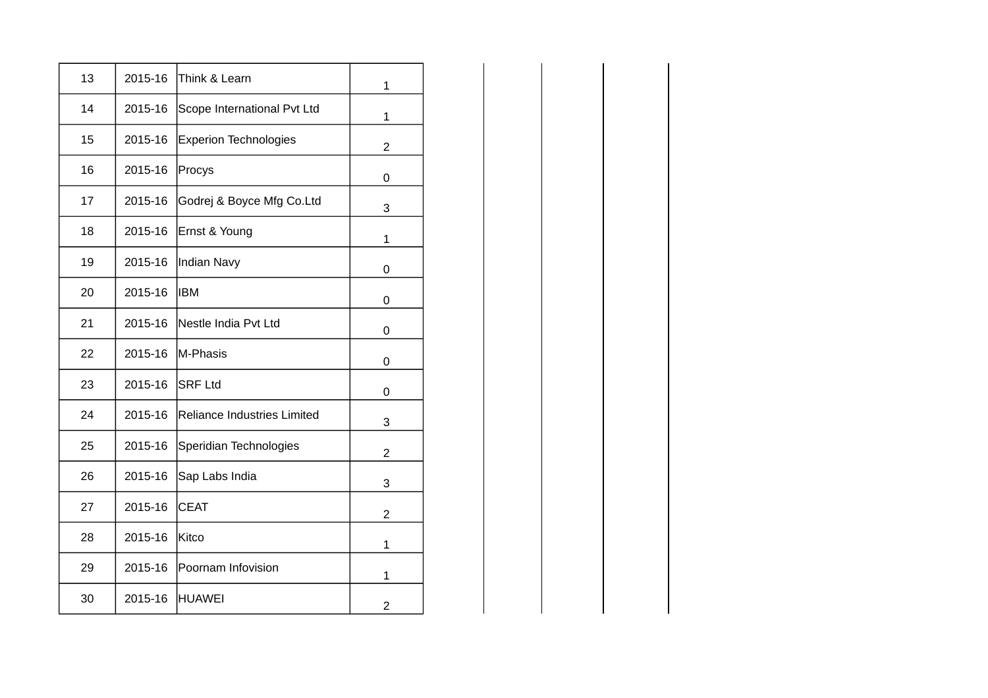| 13 | 2015-16 | Think & Learn                | 1              |
|----|---------|------------------------------|----------------|
| 14 | 2015-16 | Scope International Pvt Ltd  | 1              |
| 15 | 2015-16 | <b>Experion Technologies</b> | $\overline{2}$ |
| 16 | 2015-16 | Procys                       | 0              |
| 17 | 2015-16 | Godrej & Boyce Mfg Co.Ltd    | 3              |
| 18 | 2015-16 | Ernst & Young                | 1              |
| 19 | 2015-16 | Indian Navy                  | 0              |
| 20 | 2015-16 | <b>IBM</b>                   | 0              |
| 21 | 2015-16 | Nestle India Pvt Ltd         | 0              |
| 22 | 2015-16 | M-Phasis                     | 0              |
| 23 | 2015-16 | <b>SRF Ltd</b>               | 0              |
| 24 | 2015-16 | Reliance Industries Limited  | 3              |
| 25 | 2015-16 | Speridian Technologies       | $\overline{2}$ |
| 26 | 2015-16 | Sap Labs India               | 3              |
| 27 | 2015-16 | <b>CEAT</b>                  | $\overline{2}$ |
| 28 | 2015-16 | Kitco                        | 1              |
| 29 | 2015-16 | Poornam Infovision           | 1              |
| 30 | 2015-16 | HUAWEI                       | $\overline{2}$ |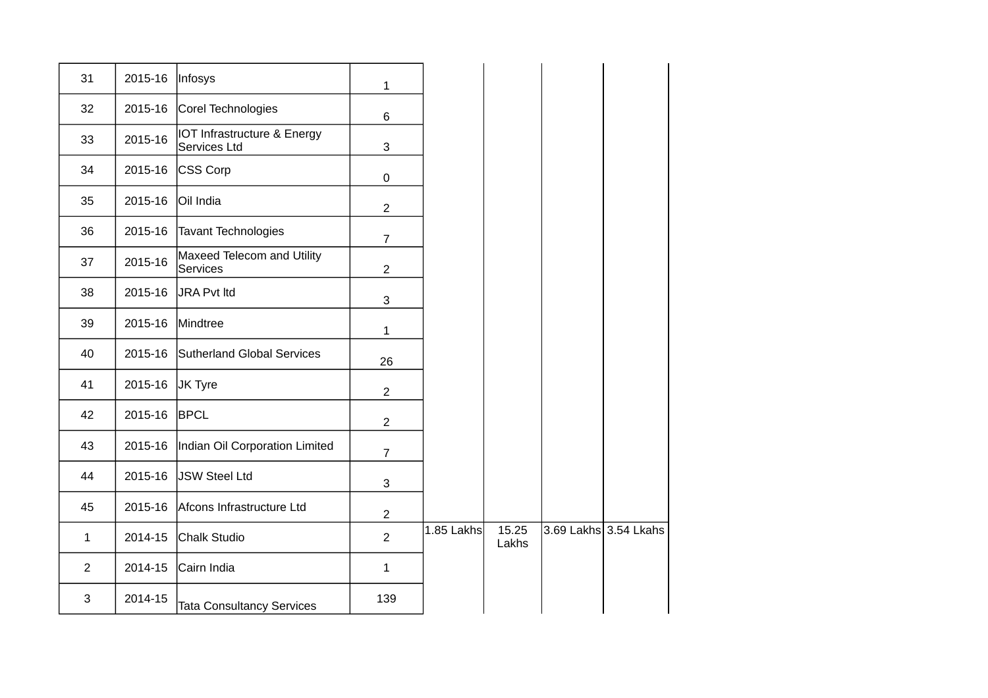| 31             | 2015-16 | Infosys                                     | $\mathbf{1}$   |            |                |                       |
|----------------|---------|---------------------------------------------|----------------|------------|----------------|-----------------------|
| 32             | 2015-16 | Corel Technologies                          | 6              |            |                |                       |
| 33             | 2015-16 | IOT Infrastructure & Energy<br>Services Ltd | 3              |            |                |                       |
| 34             | 2015-16 | CSS Corp                                    | $\mathsf 0$    |            |                |                       |
| 35             | 2015-16 | Oil India                                   | $\overline{2}$ |            |                |                       |
| 36             | 2015-16 | Tavant Technologies                         | $\overline{7}$ |            |                |                       |
| 37             | 2015-16 | Maxeed Telecom and Utility<br>Services      | $\overline{2}$ |            |                |                       |
| 38             | 2015-16 | JRA Pvt Itd                                 | 3              |            |                |                       |
| 39             | 2015-16 | Mindtree                                    | $\mathbf{1}$   |            |                |                       |
| 40             | 2015-16 | Sutherland Global Services                  | 26             |            |                |                       |
| 41             | 2015-16 | JK Tyre                                     | $\overline{c}$ |            |                |                       |
| 42             | 2015-16 | <b>BPCL</b>                                 | $\overline{2}$ |            |                |                       |
| 43             | 2015-16 | Indian Oil Corporation Limited              | $\overline{7}$ |            |                |                       |
| 44             | 2015-16 | JSW Steel Ltd                               | 3              |            |                |                       |
| 45             | 2015-16 | Afcons Infrastructure Ltd                   | $\overline{c}$ |            |                |                       |
| $\mathbf{1}$   | 2014-15 | Chalk Studio                                | $\overline{c}$ | 1.85 Lakhs | 15.25<br>Lakhs | 3.69 Lakhs 3.54 Lkahs |
| $\overline{2}$ | 2014-15 | Cairn India                                 | $\mathbf 1$    |            |                |                       |
| 3              | 2014-15 | <b>Tata Consultancy Services</b>            | 139            |            |                |                       |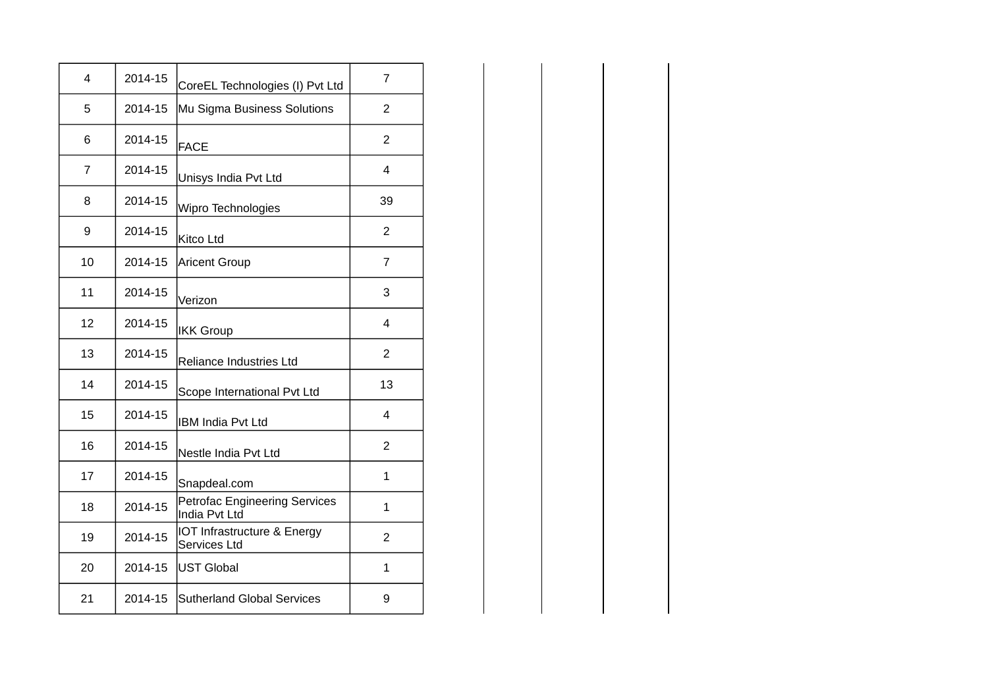| 4  | 2014-15 | CoreEL Technologies (I) Pvt Ltd                       | 7              |
|----|---------|-------------------------------------------------------|----------------|
| 5  | 2014-15 | Mu Sigma Business Solutions                           | $\overline{2}$ |
| 6  | 2014-15 | <b>FACE</b>                                           | $\overline{2}$ |
| 7  | 2014-15 | Unisys India Pvt Ltd                                  | $\overline{4}$ |
| 8  | 2014-15 | Wipro Technologies                                    | 39             |
| 9  | 2014-15 | Kitco Ltd                                             | $\overline{2}$ |
| 10 | 2014-15 | <b>Aricent Group</b>                                  | $\overline{7}$ |
| 11 | 2014-15 | Verizon                                               | 3              |
| 12 | 2014-15 | <b>IKK Group</b>                                      | $\overline{4}$ |
| 13 | 2014-15 | Reliance Industries Ltd                               | $\overline{c}$ |
| 14 | 2014-15 | Scope International Pvt Ltd                           | 13             |
| 15 | 2014-15 | IBM India Pvt Ltd                                     | $\overline{4}$ |
| 16 | 2014-15 | Nestle India Pvt Ltd                                  | $\overline{2}$ |
| 17 | 2014-15 | Snapdeal.com                                          | $\mathbf{1}$   |
| 18 | 2014-15 | <b>Petrofac Engineering Services</b><br>India Pvt Ltd | 1              |
| 19 | 2014-15 | IOT Infrastructure & Energy<br>Services Ltd           | $\overline{c}$ |
| 20 | 2014-15 | <b>UST Global</b>                                     | $\mathbf 1$    |
| 21 | 2014-15 | <b>Sutherland Global Services</b>                     | 9              |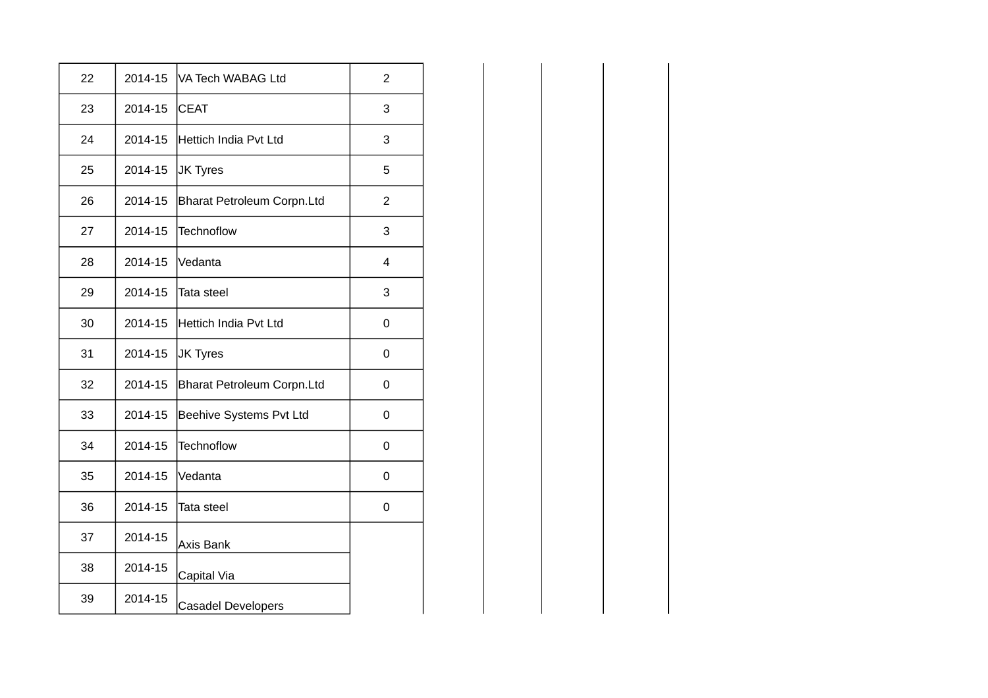| 22 | 2014-15 | VA Tech WABAG Ltd            | $\overline{c}$ |
|----|---------|------------------------------|----------------|
| 23 | 2014-15 | <b>CEAT</b>                  | 3              |
| 24 | 2014-15 | <b>Hettich India Pvt Ltd</b> | 3              |
| 25 | 2014-15 | JK Tyres                     | 5              |
| 26 | 2014-15 | Bharat Petroleum Corpn.Ltd   | $\overline{c}$ |
| 27 | 2014-15 | <b>Technoflow</b>            | 3              |
| 28 | 2014-15 | Vedanta                      | 4              |
| 29 | 2014-15 | Tata steel                   | 3              |
| 30 | 2014-15 | <b>Hettich India Pvt Ltd</b> | 0              |
| 31 | 2014-15 | JK Tyres                     | 0              |
| 32 | 2014-15 | Bharat Petroleum Corpn.Ltd   | 0              |
| 33 | 2014-15 | Beehive Systems Pvt Ltd      | 0              |
| 34 | 2014-15 | <b>Technoflow</b>            | 0              |
| 35 | 2014-15 | Vedanta                      | 0              |
| 36 | 2014-15 | Tata steel                   | 0              |
| 37 | 2014-15 | <b>Axis Bank</b>             |                |
| 38 | 2014-15 | Capital Via                  |                |
| 39 | 2014-15 | <b>Casadel Developers</b>    |                |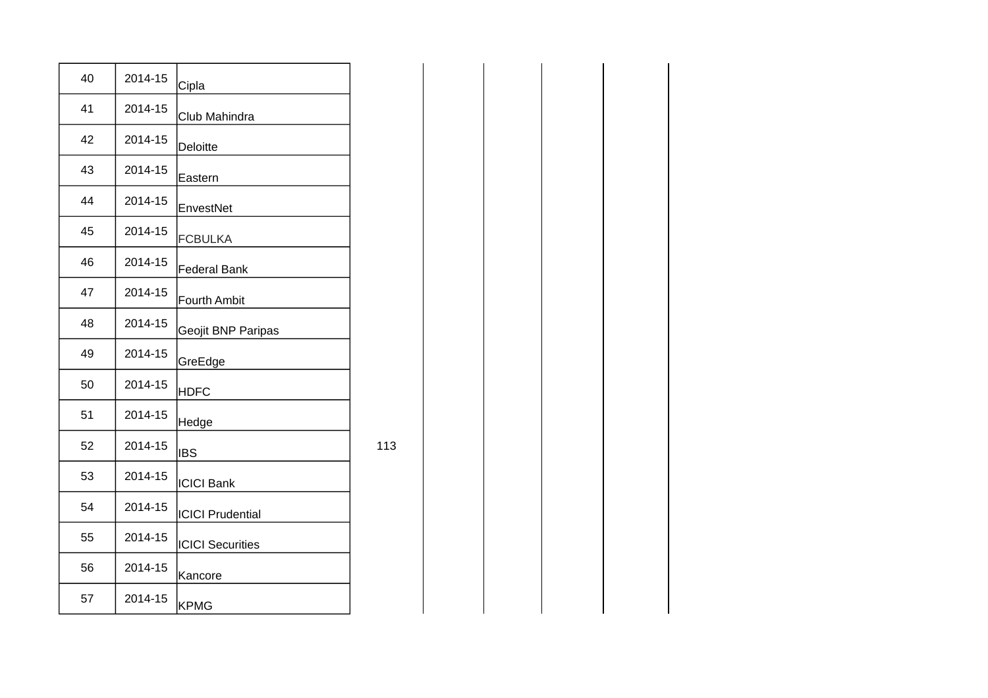| 40 | 2014-15 | Cipla                   |
|----|---------|-------------------------|
| 41 | 2014-15 | Club Mahindra           |
| 42 | 2014-15 | Deloitte                |
| 43 | 2014-15 | Eastern                 |
| 44 | 2014-15 | EnvestNet               |
| 45 | 2014-15 | <b>FCBULKA</b>          |
| 46 | 2014-15 | <b>Federal Bank</b>     |
| 47 | 2014-15 | <b>Fourth Ambit</b>     |
| 48 | 2014-15 | Geojit BNP Paripas      |
| 49 | 2014-15 | GreEdge                 |
| 50 | 2014-15 | <b>HDFC</b>             |
| 51 | 2014-15 | Hedge                   |
| 52 | 2014-15 | <b>IBS</b>              |
| 53 | 2014-15 | <b>ICICI Bank</b>       |
| 54 | 2014-15 | <b>ICICI Prudential</b> |
| 55 | 2014-15 | <b>ICICI Securities</b> |
| 56 | 2014-15 | Kancore                 |
| 57 | 2014-15 | <b>KPMG</b>             |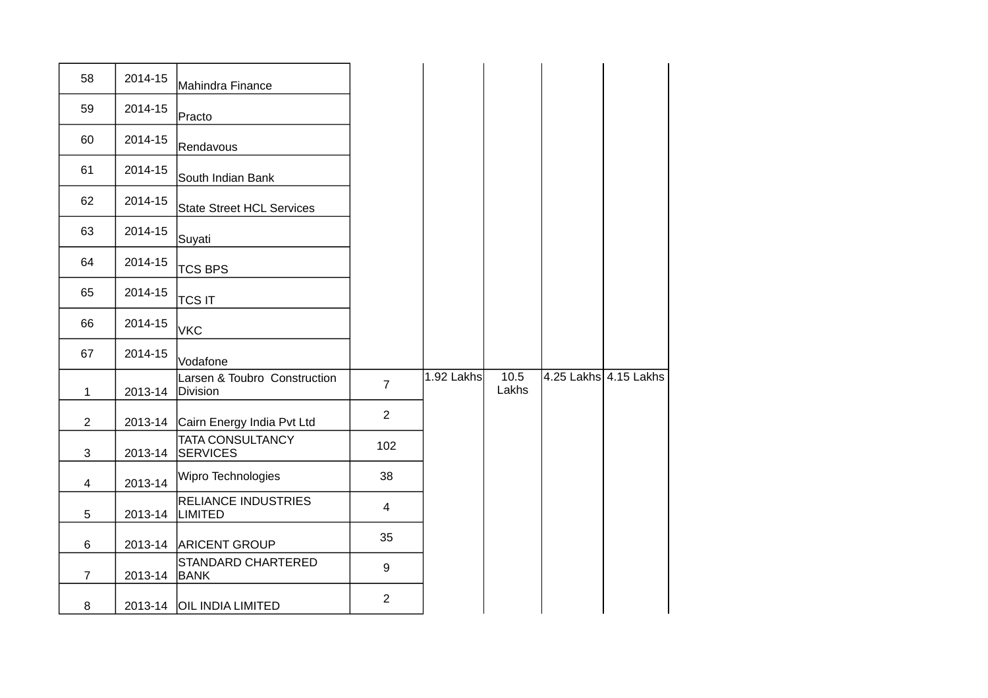| 58             | 2014-15 | Mahindra Finance                             |                |            |               |                       |
|----------------|---------|----------------------------------------------|----------------|------------|---------------|-----------------------|
| 59             | 2014-15 | Practo                                       |                |            |               |                       |
| 60             | 2014-15 | Rendavous                                    |                |            |               |                       |
| 61             | 2014-15 | South Indian Bank                            |                |            |               |                       |
| 62             | 2014-15 | State Street HCL Services                    |                |            |               |                       |
| 63             | 2014-15 | Suyati                                       |                |            |               |                       |
| 64             | 2014-15 | <b>TCS BPS</b>                               |                |            |               |                       |
| 65             | 2014-15 | <b>TCS IT</b>                                |                |            |               |                       |
| 66             | 2014-15 | <b>VKC</b>                                   |                |            |               |                       |
|                |         |                                              |                |            |               |                       |
| 67             | 2014-15 | Vodafone                                     |                |            |               |                       |
| $\mathbf{1}$   | 2013-14 | Larsen & Toubro Construction<br>Division     | $\overline{7}$ | 1.92 Lakhs | 10.5<br>Lakhs | 4.25 Lakhs 4.15 Lakhs |
| $\overline{2}$ | 2013-14 | Cairn Energy India Pvt Ltd                   | $\overline{2}$ |            |               |                       |
| 3              | 2013-14 | <b>TATA CONSULTANCY</b><br><b>SERVICES</b>   | 102            |            |               |                       |
| 4              | 2013-14 | Wipro Technologies                           | 38             |            |               |                       |
| 5              | 2013-14 | <b>RELIANCE INDUSTRIES</b><br><b>LIMITED</b> | $\overline{4}$ |            |               |                       |
| 6              | 2013-14 | <b>ARICENT GROUP</b>                         | 35             |            |               |                       |
| $\overline{7}$ | 2013-14 | STANDARD CHARTERED<br><b>BANK</b>            | 9              |            |               |                       |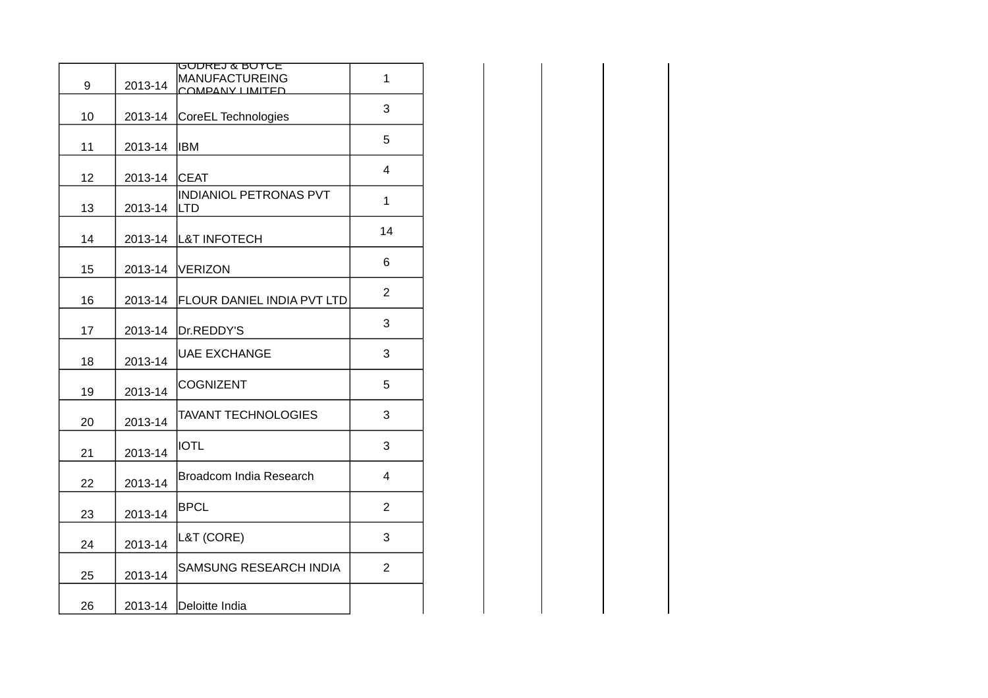| 9  | 2013-14 | <u>GODREJ &amp; BOYCE</u><br>MANUFACTUREING<br>COMPANY LIMITED | $\mathbf{1}$   |
|----|---------|----------------------------------------------------------------|----------------|
| 10 | 2013-14 | CoreEL Technologies                                            | 3              |
| 11 | 2013-14 | <b>IBM</b>                                                     | 5              |
| 12 | 2013-14 | <b>CEAT</b>                                                    | $\overline{4}$ |
| 13 | 2013-14 | <b>INDIANIOL PETRONAS PVT</b><br><b>LTD</b>                    | $\mathbf{1}$   |
| 14 |         | 2013-14 L&T INFOTECH                                           | $14\,$         |
| 15 |         | 2013-14 VERIZON                                                | 6              |
| 16 |         | 2013-14 FLOUR DANIEL INDIA PVT LTD                             | $\overline{c}$ |
| 17 |         | 2013-14 Dr.REDDY'S                                             | 3              |
| 18 | 2013-14 | <b>UAE EXCHANGE</b>                                            | 3              |
| 19 | 2013-14 | <b>COGNIZENT</b>                                               | 5              |
| 20 | 2013-14 | <b>TAVANT TECHNOLOGIES</b>                                     | 3              |
| 21 | 2013-14 | <b>IOTL</b>                                                    | 3              |
| 22 | 2013-14 | Broadcom India Research                                        | $\overline{4}$ |
| 23 | 2013-14 | <b>BPCL</b>                                                    | $\overline{2}$ |
| 24 | 2013-14 | L&T (CORE)                                                     | 3              |
| 25 | 2013-14 | SAMSUNG RESEARCH INDIA                                         | $\overline{2}$ |
| 26 |         | 2013-14 Deloitte India                                         |                |